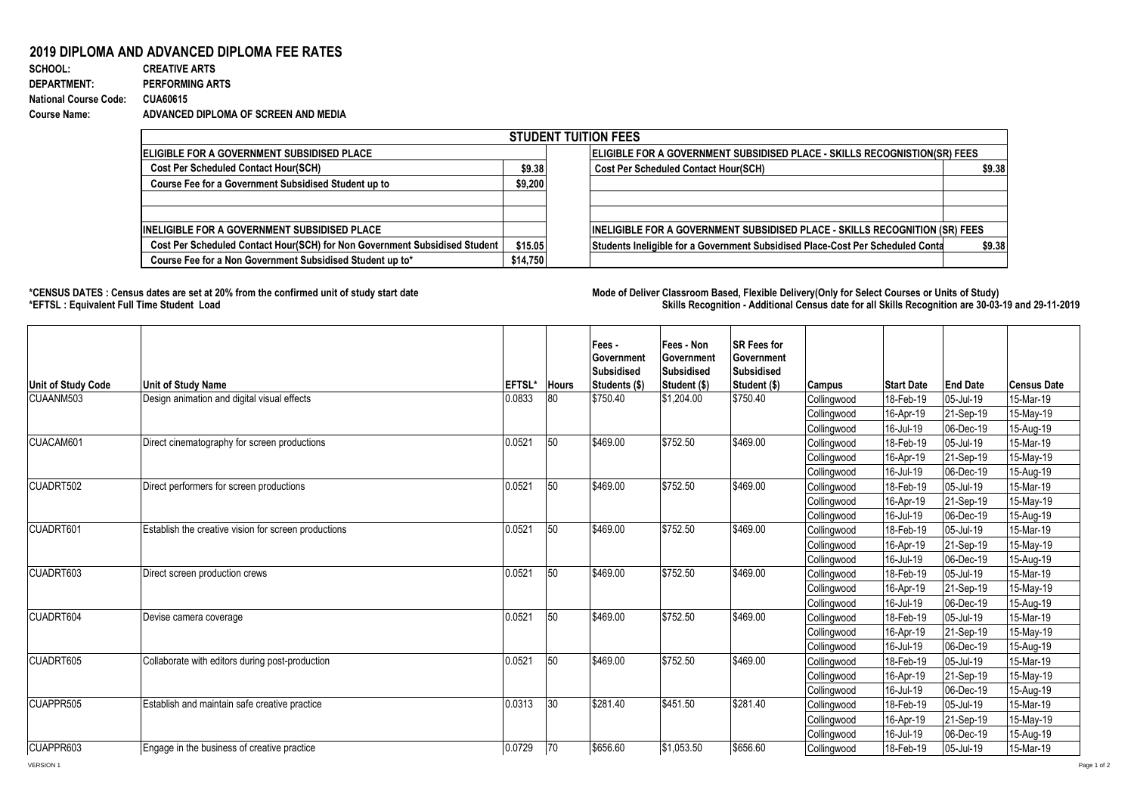## **2019 DIPLOMA AND ADVANCED DIPLOMA FEE RATES**

| SCHOOL:                      | <b>CREATIVE ARTS</b>                 |
|------------------------------|--------------------------------------|
| <b>DEPARTMENT:</b>           | <b>PERFORMING ARTS</b>               |
| <b>National Course Code:</b> | CUA60615                             |
| Course Name:                 | ADVANCED DIPLOMA OF SCREEN AND MEDIA |

| <b>STUDENT TUITION FEES</b>                                                |         |          |                                                                                |        |  |  |  |
|----------------------------------------------------------------------------|---------|----------|--------------------------------------------------------------------------------|--------|--|--|--|
| <b>IELIGIBLE FOR A GOVERNMENT SUBSIDISED PLACE</b>                         |         |          | ELIGIBLE FOR A GOVERNMENT SUBSIDISED PLACE - SKILLS RECOGNISTION(SR) FEES      |        |  |  |  |
| <b>Cost Per Scheduled Contact Hour(SCH)</b>                                | \$9.38  |          | <b>Cost Per Scheduled Contact Hour(SCH)</b>                                    | \$9.38 |  |  |  |
| Course Fee for a Government Subsidised Student up to                       | \$9,200 |          |                                                                                |        |  |  |  |
|                                                                            |         |          |                                                                                |        |  |  |  |
|                                                                            |         |          |                                                                                |        |  |  |  |
| <b>INELIGIBLE FOR A GOVERNMENT SUBSIDISED PLACE</b>                        |         |          | INELIGIBLE FOR A GOVERNMENT SUBSIDISED PLACE - SKILLS RECOGNITION (SR) FEES    |        |  |  |  |
| Cost Per Scheduled Contact Hour(SCH) for Non Government Subsidised Student | \$15.05 |          | Students Ineligible for a Government Subsidised Place-Cost Per Scheduled Conta | \$9.38 |  |  |  |
| Course Fee for a Non Government Subsidised Student up to*                  |         | \$14.750 |                                                                                |        |  |  |  |

1000

**\*CENSUS DATES : Census dates are set at 20% from the confirmed unit of study start date Mode of Delivery:Classroom Based, Flexible Delivery(Only for Select Courses or Units of Study) \*EFTSL : Equivalent Full Time Student Load Skills Recognition - Additional Census date for all Skills Recognition are 30-03-19 and 29-11-2019** 

| <b>Unit of Study Code</b> | <b>Unit of Study Name</b>                            | <b>IEFTSL*</b> | <b>Hours</b> | Fees -<br><b>I</b> Government<br>Subsidised<br>Students (\$) | Fees - Non<br>Government<br>Subsidised<br>Student (\$) | <b>SR Fees for</b><br>Government<br><b>Subsidised</b><br>Student (\$) | Campus      | <b>Start Date</b> | <b>End Date</b> | <b>Census Date</b> |
|---------------------------|------------------------------------------------------|----------------|--------------|--------------------------------------------------------------|--------------------------------------------------------|-----------------------------------------------------------------------|-------------|-------------------|-----------------|--------------------|
| CUAANM503                 | Design animation and digital visual effects          | 0.0833         | 80           | \$750.40                                                     | \$1,204.00                                             | \$750.40                                                              | Collingwood | 18-Feb-19         | 05-Jul-19       | 15-Mar-19          |
|                           |                                                      |                |              |                                                              |                                                        |                                                                       | Collingwood | 16-Apr-19         | 21-Sep-19       | 15-May-19          |
|                           |                                                      |                |              |                                                              |                                                        |                                                                       | Collingwood | 16-Jul-19         | 06-Dec-19       | 15-Aug-19          |
| CUACAM601                 | Direct cinematography for screen productions         | 0.0521         | 50           | \$469.00                                                     | \$752.50                                               | \$469.00                                                              | Collingwood | 18-Feb-19         | 05-Jul-19       | 15-Mar-19          |
|                           |                                                      |                |              |                                                              |                                                        |                                                                       | Collingwood | 16-Apr-19         | 21-Sep-19       | 15-May-19          |
|                           |                                                      |                |              |                                                              |                                                        |                                                                       | Collingwood | 16-Jul-19         | 06-Dec-19       | 15-Aug-19          |
| CUADRT502                 | Direct performers for screen productions             | 0.0521         | 50           | \$469.00                                                     | \$752.50                                               | \$469.00                                                              | Collingwood | 18-Feb-19         | 05-Jul-19       | 15-Mar-19          |
|                           |                                                      |                |              |                                                              |                                                        |                                                                       | Collingwood | 16-Apr-19         | 21-Sep-19       | 15-May-19          |
|                           |                                                      |                |              |                                                              |                                                        |                                                                       | Collingwood | 16-Jul-19         | 06-Dec-19       | 15-Aug-19          |
| CUADRT601                 | Establish the creative vision for screen productions | 0.0521         | 50           | \$469.00                                                     | \$752.50                                               | \$469.00                                                              | Collingwood | 18-Feb-19         | 05-Jul-19       | 15-Mar-19          |
|                           |                                                      |                |              |                                                              |                                                        |                                                                       | Collingwood | 16-Apr-19         | 21-Sep-19       | 15-May-19          |
|                           |                                                      |                |              |                                                              |                                                        |                                                                       | Collingwood | 16-Jul-19         | 06-Dec-19       | 15-Aug-19          |
| CUADRT603                 | Direct screen production crews                       | 0.0521         | 50           | \$469.00                                                     | \$752.50                                               | \$469.00                                                              | Collingwood | 18-Feb-19         | 05-Jul-19       | 15-Mar-19          |
|                           |                                                      |                |              |                                                              |                                                        |                                                                       | Collingwood | 16-Apr-19         | 21-Sep-19       | 15-May-19          |
|                           |                                                      |                |              |                                                              |                                                        |                                                                       | Collingwood | 16-Jul-19         | 06-Dec-19       | 15-Aug-19          |
| CUADRT604                 | Devise camera coverage                               | 0.0521         | 50           | \$469.00                                                     | \$752.50                                               | \$469.00                                                              | Collingwood | 18-Feb-19         | 05-Jul-19       | 15-Mar-19          |
|                           |                                                      |                |              |                                                              |                                                        |                                                                       | Collingwood | 16-Apr-19         | 21-Sep-19       | 15-May-19          |
|                           |                                                      |                |              |                                                              |                                                        |                                                                       | Collingwood | 16-Jul-19         | 06-Dec-19       | 15-Aug-19          |
| CUADRT605                 | Collaborate with editors during post-production      | 0.0521         | 50           | \$469.00                                                     | \$752.50                                               | \$469.00                                                              | Collingwood | 18-Feb-19         | 05-Jul-19       | 15-Mar-19          |
|                           |                                                      |                |              |                                                              |                                                        |                                                                       | Collingwood | 16-Apr-19         | 21-Sep-19       | 15-May-19          |
|                           |                                                      |                |              |                                                              |                                                        |                                                                       | Collingwood | 16-Jul-19         | 06-Dec-19       | 15-Aug-19          |
| CUAPPR505                 | Establish and maintain safe creative practice        | 0.0313         | 30           | \$281.40                                                     | \$451.50                                               | \$281.40                                                              | Collingwood | 18-Feb-19         | 05-Jul-19       | 15-Mar-19          |
|                           |                                                      |                |              |                                                              |                                                        |                                                                       | Collingwood | 16-Apr-19         | 21-Sep-19       | 15-May-19          |
|                           |                                                      |                |              |                                                              |                                                        |                                                                       | Collingwood | 16-Jul-19         | 06-Dec-19       | 15-Aug-19          |
| CUAPPR603                 | Engage in the business of creative practice          | 0.0729         | 70           | \$656.60                                                     | \$1,053.50                                             | \$656.60                                                              | Collingwood | 18-Feb-19         | 05-Jul-19       | 15-Mar-19          |